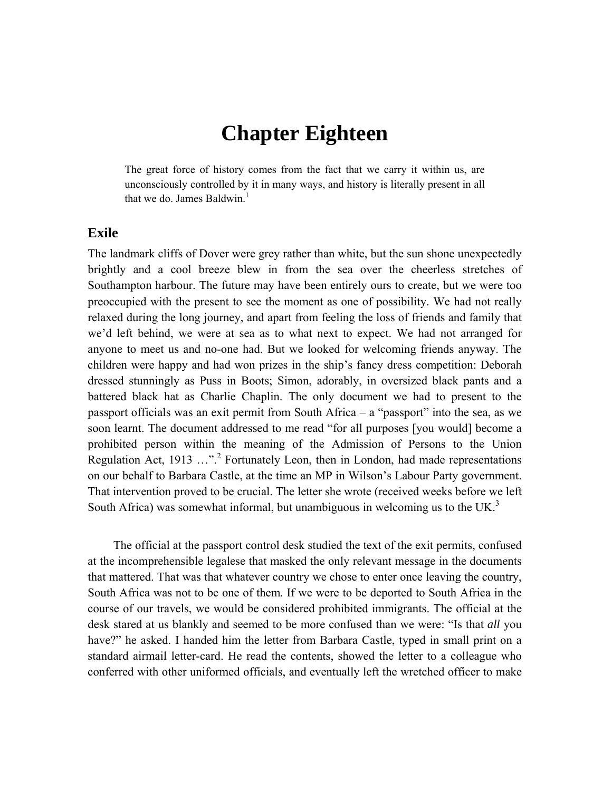## **Chapter Eighteen**

The great force of history comes from the fact that we carry it within us, are unconsciously controlled by it in many ways, and history is literally present in all that we do. James Baldwin<sup>1</sup>

## **Exile**

The landmark cliffs of Dover were grey rather than white, but the sun shone unexpectedly brightly and a cool breeze blew in from the sea over the cheerless stretches of Southampton harbour. The future may have been entirely ours to create, but we were too preoccupied with the present to see the moment as one of possibility. We had not really relaxed during the long journey, and apart from feeling the loss of friends and family that we'd left behind, we were at sea as to what next to expect. We had not arranged for anyone to meet us and no-one had. But we looked for welcoming friends anyway. The children were happy and had won prizes in the ship's fancy dress competition: Deborah dressed stunningly as Puss in Boots; Simon, adorably, in oversized black pants and a battered black hat as Charlie Chaplin. The only document we had to present to the passport officials was an exit permit from South Africa – a "passport" into the sea, as we soon learnt. The document addressed to me read "for all purposes [you would] become a prohibited person within the meaning of the Admission of Persons to the Union Regulation Act, 1913 ..."<sup>2</sup> Fortunately Leon, then in London, had made representations on our behalf to Barbara Castle, at the time an MP in Wilson's Labour Party government. That intervention proved to be crucial. The letter she wrote (received weeks before we left South Africa) was somewhat informal, but unambiguous in welcoming us to the UK.<sup>3</sup>

The official at the passport control desk studied the text of the exit permits, confused at the incomprehensible legalese that masked the only relevant message in the documents that mattered. That was that whatever country we chose to enter once leaving the country, South Africa was not to be one of them*.* If we were to be deported to South Africa in the course of our travels, we would be considered prohibited immigrants. The official at the desk stared at us blankly and seemed to be more confused than we were: "Is that *all* you have?" he asked. I handed him the letter from Barbara Castle, typed in small print on a standard airmail letter-card. He read the contents, showed the letter to a colleague who conferred with other uniformed officials, and eventually left the wretched officer to make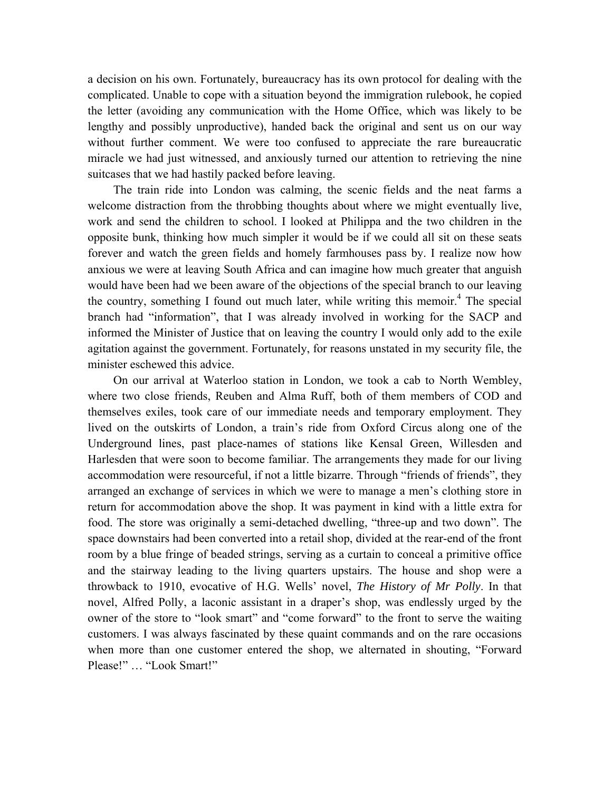a decision on his own. Fortunately, bureaucracy has its own protocol for dealing with the complicated. Unable to cope with a situation beyond the immigration rulebook, he copied the letter (avoiding any communication with the Home Office, which was likely to be lengthy and possibly unproductive), handed back the original and sent us on our way without further comment. We were too confused to appreciate the rare bureaucratic miracle we had just witnessed, and anxiously turned our attention to retrieving the nine suitcases that we had hastily packed before leaving.

The train ride into London was calming, the scenic fields and the neat farms a welcome distraction from the throbbing thoughts about where we might eventually live, work and send the children to school. I looked at Philippa and the two children in the opposite bunk, thinking how much simpler it would be if we could all sit on these seats forever and watch the green fields and homely farmhouses pass by. I realize now how anxious we were at leaving South Africa and can imagine how much greater that anguish would have been had we been aware of the objections of the special branch to our leaving the country, something I found out much later, while writing this memoir.<sup>4</sup> The special branch had "information", that I was already involved in working for the SACP and informed the Minister of Justice that on leaving the country I would only add to the exile agitation against the government. Fortunately, for reasons unstated in my security file, the minister eschewed this advice.

On our arrival at Waterloo station in London, we took a cab to North Wembley, where two close friends, Reuben and Alma Ruff, both of them members of COD and themselves exiles, took care of our immediate needs and temporary employment. They lived on the outskirts of London, a train's ride from Oxford Circus along one of the Underground lines, past place-names of stations like Kensal Green, Willesden and Harlesden that were soon to become familiar. The arrangements they made for our living accommodation were resourceful, if not a little bizarre. Through "friends of friends", they arranged an exchange of services in which we were to manage a men's clothing store in return for accommodation above the shop. It was payment in kind with a little extra for food. The store was originally a semi-detached dwelling, "three-up and two down". The space downstairs had been converted into a retail shop, divided at the rear-end of the front room by a blue fringe of beaded strings, serving as a curtain to conceal a primitive office and the stairway leading to the living quarters upstairs. The house and shop were a throwback to 1910, evocative of H.G. Wells' novel, *The History of Mr Polly*. In that novel, Alfred Polly, a laconic assistant in a draper's shop, was endlessly urged by the owner of the store to "look smart" and "come forward" to the front to serve the waiting customers. I was always fascinated by these quaint commands and on the rare occasions when more than one customer entered the shop, we alternated in shouting, "Forward Please!" … "Look Smart!"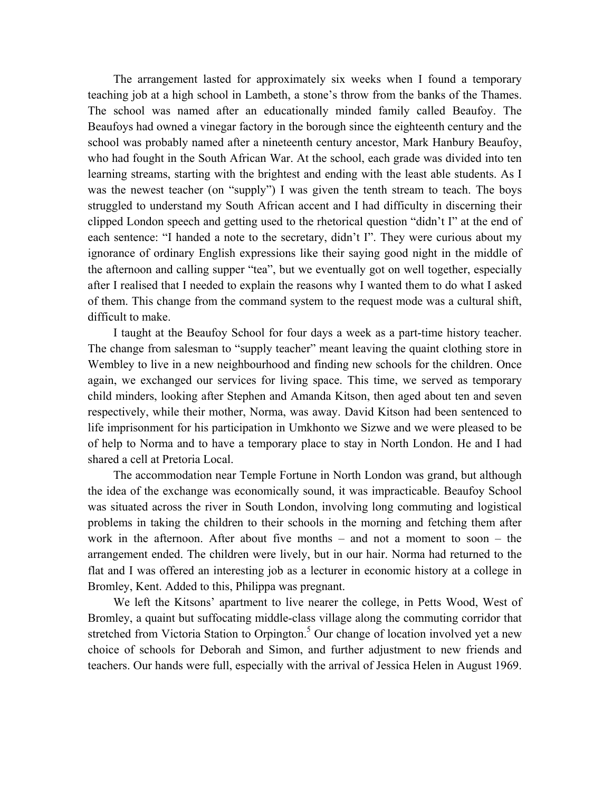The arrangement lasted for approximately six weeks when I found a temporary teaching job at a high school in Lambeth, a stone's throw from the banks of the Thames. The school was named after an educationally minded family called Beaufoy. The Beaufoys had owned a vinegar factory in the borough since the eighteenth century and the school was probably named after a nineteenth century ancestor, Mark Hanbury Beaufoy, who had fought in the South African War. At the school, each grade was divided into ten learning streams, starting with the brightest and ending with the least able students. As I was the newest teacher (on "supply") I was given the tenth stream to teach. The boys struggled to understand my South African accent and I had difficulty in discerning their clipped London speech and getting used to the rhetorical question "didn't I" at the end of each sentence: "I handed a note to the secretary, didn't I". They were curious about my ignorance of ordinary English expressions like their saying good night in the middle of the afternoon and calling supper "tea", but we eventually got on well together, especially after I realised that I needed to explain the reasons why I wanted them to do what I asked of them. This change from the command system to the request mode was a cultural shift, difficult to make.

I taught at the Beaufoy School for four days a week as a part-time history teacher. The change from salesman to "supply teacher" meant leaving the quaint clothing store in Wembley to live in a new neighbourhood and finding new schools for the children. Once again, we exchanged our services for living space. This time, we served as temporary child minders, looking after Stephen and Amanda Kitson, then aged about ten and seven respectively, while their mother, Norma, was away. David Kitson had been sentenced to life imprisonment for his participation in Umkhonto we Sizwe and we were pleased to be of help to Norma and to have a temporary place to stay in North London. He and I had shared a cell at Pretoria Local.

The accommodation near Temple Fortune in North London was grand, but although the idea of the exchange was economically sound, it was impracticable. Beaufoy School was situated across the river in South London, involving long commuting and logistical problems in taking the children to their schools in the morning and fetching them after work in the afternoon. After about five months – and not a moment to soon – the arrangement ended. The children were lively, but in our hair. Norma had returned to the flat and I was offered an interesting job as a lecturer in economic history at a college in Bromley, Kent. Added to this, Philippa was pregnant.

We left the Kitsons' apartment to live nearer the college, in Petts Wood, West of Bromley, a quaint but suffocating middle-class village along the commuting corridor that stretched from Victoria Station to Orpington.<sup>5</sup> Our change of location involved yet a new choice of schools for Deborah and Simon, and further adjustment to new friends and teachers. Our hands were full, especially with the arrival of Jessica Helen in August 1969.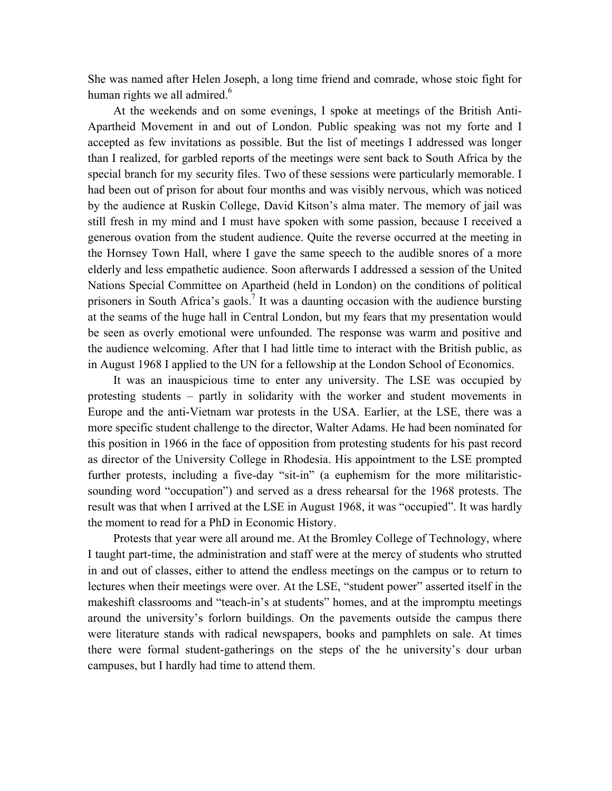She was named after Helen Joseph, a long time friend and comrade, whose stoic fight for human rights we all admired. $6$ 

At the weekends and on some evenings, I spoke at meetings of the British Anti-Apartheid Movement in and out of London. Public speaking was not my forte and I accepted as few invitations as possible. But the list of meetings I addressed was longer than I realized, for garbled reports of the meetings were sent back to South Africa by the special branch for my security files. Two of these sessions were particularly memorable. I had been out of prison for about four months and was visibly nervous, which was noticed by the audience at Ruskin College, David Kitson's alma mater. The memory of jail was still fresh in my mind and I must have spoken with some passion, because I received a generous ovation from the student audience. Quite the reverse occurred at the meeting in the Hornsey Town Hall, where I gave the same speech to the audible snores of a more elderly and less empathetic audience. Soon afterwards I addressed a session of the United Nations Special Committee on Apartheid (held in London) on the conditions of political prisoners in South Africa's gaols.<sup>7</sup> It was a daunting occasion with the audience bursting at the seams of the huge hall in Central London, but my fears that my presentation would be seen as overly emotional were unfounded. The response was warm and positive and the audience welcoming. After that I had little time to interact with the British public, as in August 1968 I applied to the UN for a fellowship at the London School of Economics.

It was an inauspicious time to enter any university. The LSE was occupied by protesting students – partly in solidarity with the worker and student movements in Europe and the anti-Vietnam war protests in the USA. Earlier, at the LSE, there was a more specific student challenge to the director, Walter Adams. He had been nominated for this position in 1966 in the face of opposition from protesting students for his past record as director of the University College in Rhodesia. His appointment to the LSE prompted further protests, including a five-day "sit-in" (a euphemism for the more militaristicsounding word "occupation") and served as a dress rehearsal for the 1968 protests. The result was that when I arrived at the LSE in August 1968, it was "occupied". It was hardly the moment to read for a PhD in Economic History.

Protests that year were all around me. At the Bromley College of Technology, where I taught part-time, the administration and staff were at the mercy of students who strutted in and out of classes, either to attend the endless meetings on the campus or to return to lectures when their meetings were over. At the LSE, "student power" asserted itself in the makeshift classrooms and "teach-in's at students" homes, and at the impromptu meetings around the university's forlorn buildings. On the pavements outside the campus there were literature stands with radical newspapers, books and pamphlets on sale. At times there were formal student-gatherings on the steps of the he university's dour urban campuses, but I hardly had time to attend them.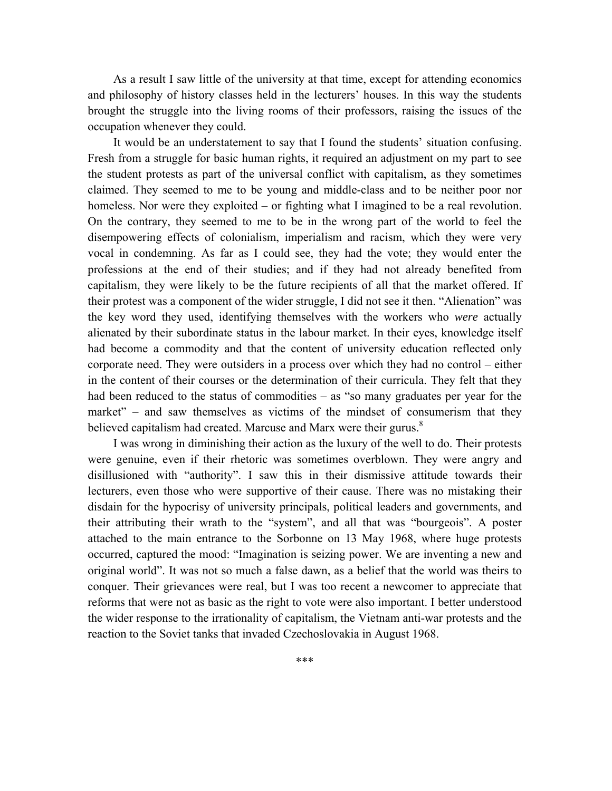As a result I saw little of the university at that time, except for attending economics and philosophy of history classes held in the lecturers' houses. In this way the students brought the struggle into the living rooms of their professors, raising the issues of the occupation whenever they could.

It would be an understatement to say that I found the students' situation confusing. Fresh from a struggle for basic human rights, it required an adjustment on my part to see the student protests as part of the universal conflict with capitalism, as they sometimes claimed. They seemed to me to be young and middle-class and to be neither poor nor homeless. Nor were they exploited – or fighting what I imagined to be a real revolution. On the contrary, they seemed to me to be in the wrong part of the world to feel the disempowering effects of colonialism, imperialism and racism, which they were very vocal in condemning. As far as I could see, they had the vote; they would enter the professions at the end of their studies; and if they had not already benefited from capitalism, they were likely to be the future recipients of all that the market offered. If their protest was a component of the wider struggle, I did not see it then. "Alienation" was the key word they used, identifying themselves with the workers who *were* actually alienated by their subordinate status in the labour market. In their eyes, knowledge itself had become a commodity and that the content of university education reflected only corporate need. They were outsiders in a process over which they had no control – either in the content of their courses or the determination of their curricula. They felt that they had been reduced to the status of commodities – as "so many graduates per year for the market" – and saw themselves as victims of the mindset of consumerism that they believed capitalism had created. Marcuse and Marx were their gurus. $8<sup>8</sup>$ 

I was wrong in diminishing their action as the luxury of the well to do. Their protests were genuine, even if their rhetoric was sometimes overblown. They were angry and disillusioned with "authority". I saw this in their dismissive attitude towards their lecturers, even those who were supportive of their cause. There was no mistaking their disdain for the hypocrisy of university principals, political leaders and governments, and their attributing their wrath to the "system", and all that was "bourgeois". A poster attached to the main entrance to the Sorbonne on 13 May 1968, where huge protests occurred, captured the mood: "Imagination is seizing power. We are inventing a new and original world". It was not so much a false dawn, as a belief that the world was theirs to conquer. Their grievances were real, but I was too recent a newcomer to appreciate that reforms that were not as basic as the right to vote were also important. I better understood the wider response to the irrationality of capitalism, the Vietnam anti-war protests and the reaction to the Soviet tanks that invaded Czechoslovakia in August 1968.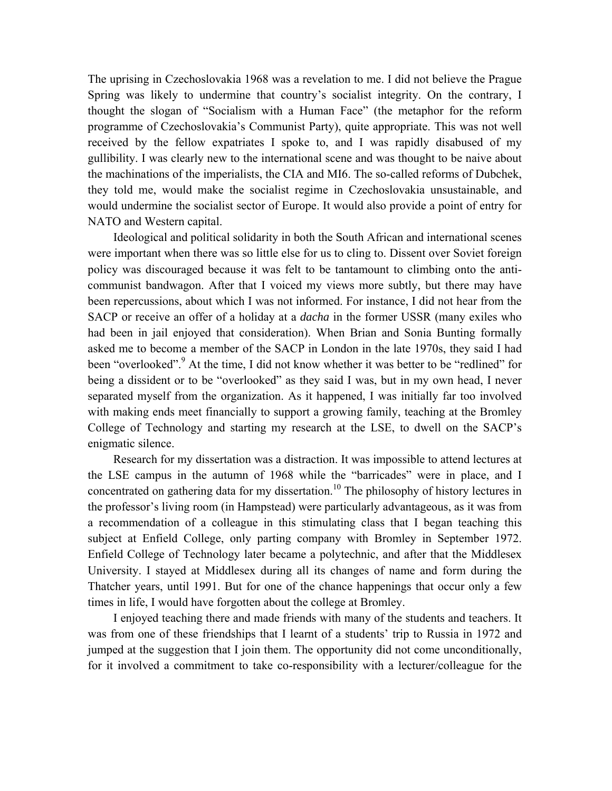The uprising in Czechoslovakia 1968 was a revelation to me. I did not believe the Prague Spring was likely to undermine that country's socialist integrity. On the contrary, I thought the slogan of "Socialism with a Human Face" (the metaphor for the reform programme of Czechoslovakia's Communist Party), quite appropriate. This was not well received by the fellow expatriates I spoke to, and I was rapidly disabused of my gullibility. I was clearly new to the international scene and was thought to be naive about the machinations of the imperialists, the CIA and MI6. The so-called reforms of Dubchek, they told me, would make the socialist regime in Czechoslovakia unsustainable, and would undermine the socialist sector of Europe. It would also provide a point of entry for NATO and Western capital.

Ideological and political solidarity in both the South African and international scenes were important when there was so little else for us to cling to. Dissent over Soviet foreign policy was discouraged because it was felt to be tantamount to climbing onto the anticommunist bandwagon. After that I voiced my views more subtly, but there may have been repercussions, about which I was not informed. For instance, I did not hear from the SACP or receive an offer of a holiday at a *dacha* in the former USSR (many exiles who had been in jail enjoyed that consideration). When Brian and Sonia Bunting formally asked me to become a member of the SACP in London in the late 1970s, they said I had been "overlooked".<sup>9</sup> At the time, I did not know whether it was better to be "redlined" for being a dissident or to be "overlooked" as they said I was, but in my own head, I never separated myself from the organization. As it happened, I was initially far too involved with making ends meet financially to support a growing family, teaching at the Bromley College of Technology and starting my research at the LSE, to dwell on the SACP's enigmatic silence.

Research for my dissertation was a distraction. It was impossible to attend lectures at the LSE campus in the autumn of 1968 while the "barricades" were in place, and I concentrated on gathering data for my dissertation.<sup>10</sup> The philosophy of history lectures in the professor's living room (in Hampstead) were particularly advantageous, as it was from a recommendation of a colleague in this stimulating class that I began teaching this subject at Enfield College, only parting company with Bromley in September 1972. Enfield College of Technology later became a polytechnic, and after that the Middlesex University. I stayed at Middlesex during all its changes of name and form during the Thatcher years, until 1991. But for one of the chance happenings that occur only a few times in life, I would have forgotten about the college at Bromley.

I enjoyed teaching there and made friends with many of the students and teachers. It was from one of these friendships that I learnt of a students' trip to Russia in 1972 and jumped at the suggestion that I join them. The opportunity did not come unconditionally, for it involved a commitment to take co-responsibility with a lecturer/colleague for the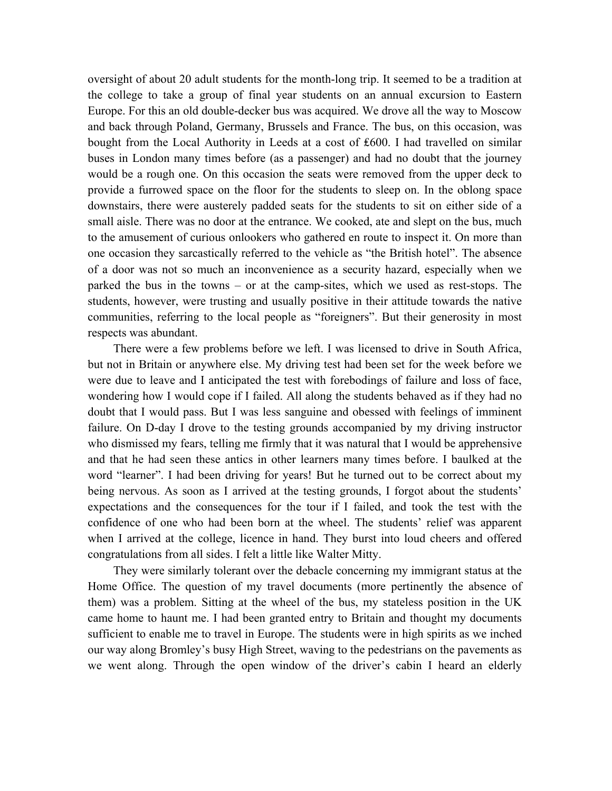oversight of about 20 adult students for the month-long trip. It seemed to be a tradition at the college to take a group of final year students on an annual excursion to Eastern Europe. For this an old double-decker bus was acquired. We drove all the way to Moscow and back through Poland, Germany, Brussels and France. The bus, on this occasion, was bought from the Local Authority in Leeds at a cost of ₤600. I had travelled on similar buses in London many times before (as a passenger) and had no doubt that the journey would be a rough one. On this occasion the seats were removed from the upper deck to provide a furrowed space on the floor for the students to sleep on. In the oblong space downstairs, there were austerely padded seats for the students to sit on either side of a small aisle. There was no door at the entrance. We cooked, ate and slept on the bus, much to the amusement of curious onlookers who gathered en route to inspect it. On more than one occasion they sarcastically referred to the vehicle as "the British hotel". The absence of a door was not so much an inconvenience as a security hazard, especially when we parked the bus in the towns – or at the camp-sites, which we used as rest-stops. The students, however, were trusting and usually positive in their attitude towards the native communities, referring to the local people as "foreigners". But their generosity in most respects was abundant.

There were a few problems before we left. I was licensed to drive in South Africa, but not in Britain or anywhere else. My driving test had been set for the week before we were due to leave and I anticipated the test with forebodings of failure and loss of face, wondering how I would cope if I failed. All along the students behaved as if they had no doubt that I would pass. But I was less sanguine and obessed with feelings of imminent failure. On D-day I drove to the testing grounds accompanied by my driving instructor who dismissed my fears, telling me firmly that it was natural that I would be apprehensive and that he had seen these antics in other learners many times before. I baulked at the word "learner". I had been driving for years! But he turned out to be correct about my being nervous. As soon as I arrived at the testing grounds, I forgot about the students' expectations and the consequences for the tour if I failed, and took the test with the confidence of one who had been born at the wheel. The students' relief was apparent when I arrived at the college, licence in hand. They burst into loud cheers and offered congratulations from all sides. I felt a little like Walter Mitty.

They were similarly tolerant over the debacle concerning my immigrant status at the Home Office. The question of my travel documents (more pertinently the absence of them) was a problem. Sitting at the wheel of the bus, my stateless position in the UK came home to haunt me. I had been granted entry to Britain and thought my documents sufficient to enable me to travel in Europe. The students were in high spirits as we inched our way along Bromley's busy High Street, waving to the pedestrians on the pavements as we went along. Through the open window of the driver's cabin I heard an elderly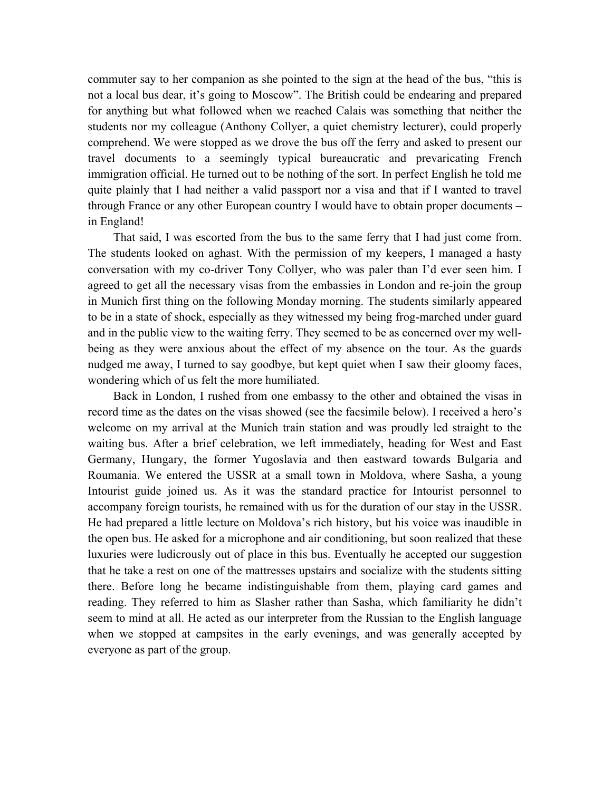commuter say to her companion as she pointed to the sign at the head of the bus, "this is not a local bus dear, it's going to Moscow". The British could be endearing and prepared for anything but what followed when we reached Calais was something that neither the students nor my colleague (Anthony Collyer, a quiet chemistry lecturer), could properly comprehend. We were stopped as we drove the bus off the ferry and asked to present our travel documents to a seemingly typical bureaucratic and prevaricating French immigration official. He turned out to be nothing of the sort. In perfect English he told me quite plainly that I had neither a valid passport nor a visa and that if I wanted to travel through France or any other European country I would have to obtain proper documents – in England!

That said, I was escorted from the bus to the same ferry that I had just come from. The students looked on aghast. With the permission of my keepers, I managed a hasty conversation with my co-driver Tony Collyer, who was paler than I'd ever seen him. I agreed to get all the necessary visas from the embassies in London and re-join the group in Munich first thing on the following Monday morning. The students similarly appeared to be in a state of shock, especially as they witnessed my being frog-marched under guard and in the public view to the waiting ferry. They seemed to be as concerned over my wellbeing as they were anxious about the effect of my absence on the tour. As the guards nudged me away, I turned to say goodbye, but kept quiet when I saw their gloomy faces, wondering which of us felt the more humiliated.

Back in London, I rushed from one embassy to the other and obtained the visas in record time as the dates on the visas showed (see the facsimile below). I received a hero's welcome on my arrival at the Munich train station and was proudly led straight to the waiting bus. After a brief celebration, we left immediately, heading for West and East Germany, Hungary, the former Yugoslavia and then eastward towards Bulgaria and Roumania. We entered the USSR at a small town in Moldova, where Sasha, a young Intourist guide joined us. As it was the standard practice for Intourist personnel to accompany foreign tourists, he remained with us for the duration of our stay in the USSR. He had prepared a little lecture on Moldova's rich history, but his voice was inaudible in the open bus. He asked for a microphone and air conditioning, but soon realized that these luxuries were ludicrously out of place in this bus. Eventually he accepted our suggestion that he take a rest on one of the mattresses upstairs and socialize with the students sitting there. Before long he became indistinguishable from them, playing card games and reading. They referred to him as Slasher rather than Sasha, which familiarity he didn't seem to mind at all. He acted as our interpreter from the Russian to the English language when we stopped at campsites in the early evenings, and was generally accepted by everyone as part of the group.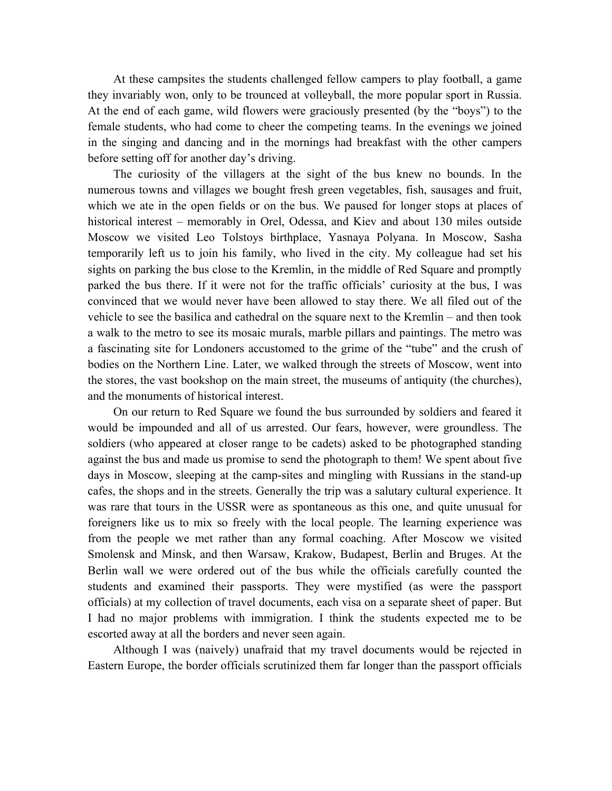At these campsites the students challenged fellow campers to play football, a game they invariably won, only to be trounced at volleyball, the more popular sport in Russia. At the end of each game, wild flowers were graciously presented (by the "boys") to the female students, who had come to cheer the competing teams. In the evenings we joined in the singing and dancing and in the mornings had breakfast with the other campers before setting off for another day's driving.

The curiosity of the villagers at the sight of the bus knew no bounds. In the numerous towns and villages we bought fresh green vegetables, fish, sausages and fruit, which we ate in the open fields or on the bus. We paused for longer stops at places of historical interest – memorably in Orel, Odessa, and Kiev and about 130 miles outside Moscow we visited Leo Tolstoys birthplace, Yasnaya Polyana. In Moscow, Sasha temporarily left us to join his family, who lived in the city. My colleague had set his sights on parking the bus close to the Kremlin, in the middle of Red Square and promptly parked the bus there. If it were not for the traffic officials' curiosity at the bus, I was convinced that we would never have been allowed to stay there. We all filed out of the vehicle to see the basilica and cathedral on the square next to the Kremlin – and then took a walk to the metro to see its mosaic murals, marble pillars and paintings. The metro was a fascinating site for Londoners accustomed to the grime of the "tube" and the crush of bodies on the Northern Line. Later, we walked through the streets of Moscow, went into the stores, the vast bookshop on the main street, the museums of antiquity (the churches), and the monuments of historical interest.

On our return to Red Square we found the bus surrounded by soldiers and feared it would be impounded and all of us arrested. Our fears, however, were groundless. The soldiers (who appeared at closer range to be cadets) asked to be photographed standing against the bus and made us promise to send the photograph to them! We spent about five days in Moscow, sleeping at the camp-sites and mingling with Russians in the stand-up cafes, the shops and in the streets. Generally the trip was a salutary cultural experience. It was rare that tours in the USSR were as spontaneous as this one, and quite unusual for foreigners like us to mix so freely with the local people. The learning experience was from the people we met rather than any formal coaching. After Moscow we visited Smolensk and Minsk, and then Warsaw, Krakow, Budapest, Berlin and Bruges. At the Berlin wall we were ordered out of the bus while the officials carefully counted the students and examined their passports. They were mystified (as were the passport officials) at my collection of travel documents, each visa on a separate sheet of paper. But I had no major problems with immigration. I think the students expected me to be escorted away at all the borders and never seen again.

Although I was (naively) unafraid that my travel documents would be rejected in Eastern Europe, the border officials scrutinized them far longer than the passport officials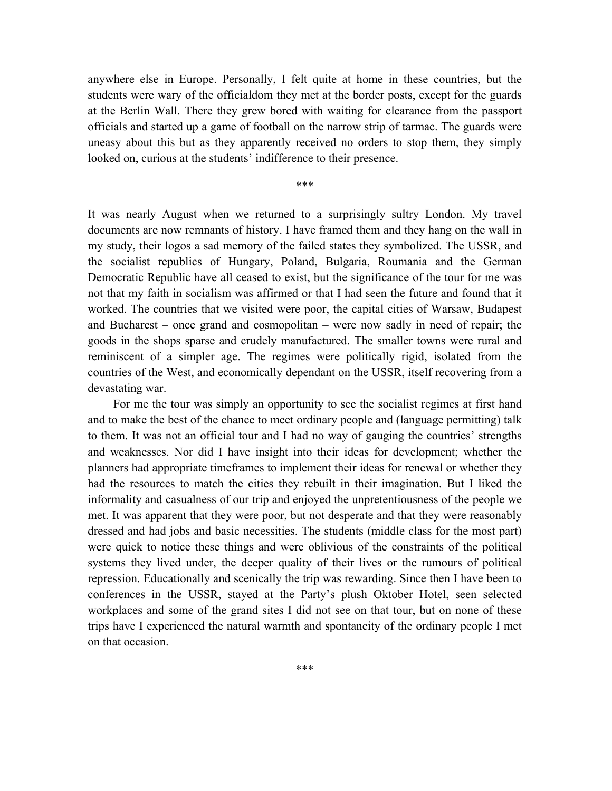anywhere else in Europe. Personally, I felt quite at home in these countries, but the students were wary of the officialdom they met at the border posts, except for the guards at the Berlin Wall. There they grew bored with waiting for clearance from the passport officials and started up a game of football on the narrow strip of tarmac. The guards were uneasy about this but as they apparently received no orders to stop them, they simply looked on, curious at the students' indifference to their presence.

\*\*\*

It was nearly August when we returned to a surprisingly sultry London. My travel documents are now remnants of history. I have framed them and they hang on the wall in my study, their logos a sad memory of the failed states they symbolized. The USSR, and the socialist republics of Hungary, Poland, Bulgaria, Roumania and the German Democratic Republic have all ceased to exist, but the significance of the tour for me was not that my faith in socialism was affirmed or that I had seen the future and found that it worked. The countries that we visited were poor, the capital cities of Warsaw, Budapest and Bucharest – once grand and cosmopolitan – were now sadly in need of repair; the goods in the shops sparse and crudely manufactured. The smaller towns were rural and reminiscent of a simpler age. The regimes were politically rigid, isolated from the countries of the West, and economically dependant on the USSR, itself recovering from a devastating war.

For me the tour was simply an opportunity to see the socialist regimes at first hand and to make the best of the chance to meet ordinary people and (language permitting) talk to them. It was not an official tour and I had no way of gauging the countries' strengths and weaknesses. Nor did I have insight into their ideas for development; whether the planners had appropriate timeframes to implement their ideas for renewal or whether they had the resources to match the cities they rebuilt in their imagination. But I liked the informality and casualness of our trip and enjoyed the unpretentiousness of the people we met. It was apparent that they were poor, but not desperate and that they were reasonably dressed and had jobs and basic necessities. The students (middle class for the most part) were quick to notice these things and were oblivious of the constraints of the political systems they lived under, the deeper quality of their lives or the rumours of political repression. Educationally and scenically the trip was rewarding. Since then I have been to conferences in the USSR, stayed at the Party's plush Oktober Hotel, seen selected workplaces and some of the grand sites I did not see on that tour, but on none of these trips have I experienced the natural warmth and spontaneity of the ordinary people I met on that occasion.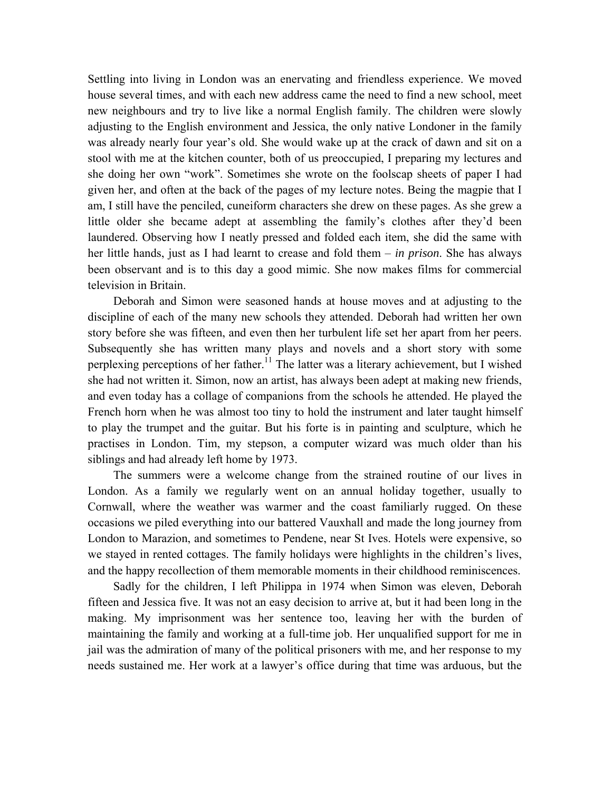Settling into living in London was an enervating and friendless experience. We moved house several times, and with each new address came the need to find a new school, meet new neighbours and try to live like a normal English family. The children were slowly adjusting to the English environment and Jessica, the only native Londoner in the family was already nearly four year's old. She would wake up at the crack of dawn and sit on a stool with me at the kitchen counter, both of us preoccupied, I preparing my lectures and she doing her own "work". Sometimes she wrote on the foolscap sheets of paper I had given her, and often at the back of the pages of my lecture notes. Being the magpie that I am, I still have the penciled, cuneiform characters she drew on these pages. As she grew a little older she became adept at assembling the family's clothes after they'd been laundered. Observing how I neatly pressed and folded each item, she did the same with her little hands, just as I had learnt to crease and fold them – *in prison*. She has always been observant and is to this day a good mimic. She now makes films for commercial television in Britain.

Deborah and Simon were seasoned hands at house moves and at adjusting to the discipline of each of the many new schools they attended. Deborah had written her own story before she was fifteen, and even then her turbulent life set her apart from her peers. Subsequently she has written many plays and novels and a short story with some perplexing perceptions of her father.<sup>11</sup> The latter was a literary achievement, but I wished she had not written it. Simon, now an artist, has always been adept at making new friends, and even today has a collage of companions from the schools he attended. He played the French horn when he was almost too tiny to hold the instrument and later taught himself to play the trumpet and the guitar. But his forte is in painting and sculpture, which he practises in London. Tim, my stepson, a computer wizard was much older than his siblings and had already left home by 1973.

The summers were a welcome change from the strained routine of our lives in London. As a family we regularly went on an annual holiday together, usually to Cornwall, where the weather was warmer and the coast familiarly rugged. On these occasions we piled everything into our battered Vauxhall and made the long journey from London to Marazion, and sometimes to Pendene, near St Ives. Hotels were expensive, so we stayed in rented cottages. The family holidays were highlights in the children's lives, and the happy recollection of them memorable moments in their childhood reminiscences.

Sadly for the children, I left Philippa in 1974 when Simon was eleven, Deborah fifteen and Jessica five. It was not an easy decision to arrive at, but it had been long in the making. My imprisonment was her sentence too, leaving her with the burden of maintaining the family and working at a full-time job. Her unqualified support for me in jail was the admiration of many of the political prisoners with me, and her response to my needs sustained me. Her work at a lawyer's office during that time was arduous, but the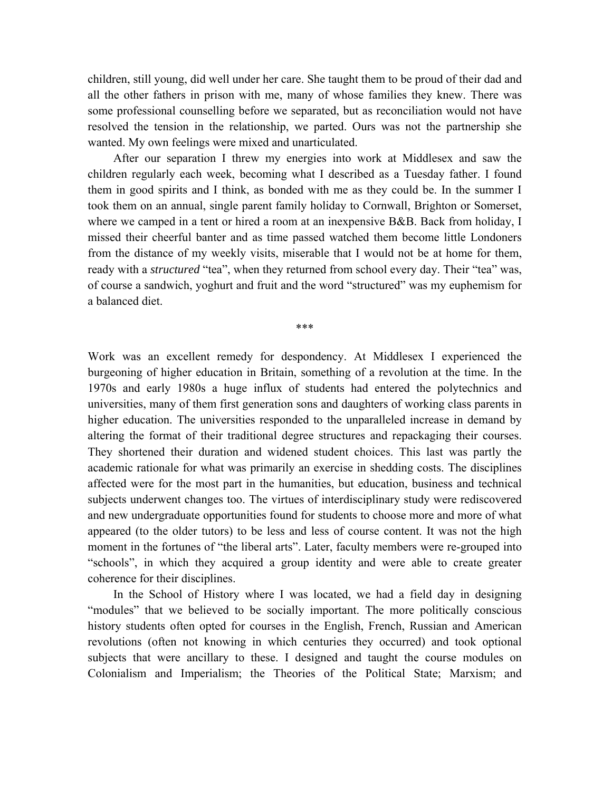children, still young, did well under her care. She taught them to be proud of their dad and all the other fathers in prison with me, many of whose families they knew. There was some professional counselling before we separated, but as reconciliation would not have resolved the tension in the relationship, we parted. Ours was not the partnership she wanted. My own feelings were mixed and unarticulated.

After our separation I threw my energies into work at Middlesex and saw the children regularly each week, becoming what I described as a Tuesday father. I found them in good spirits and I think, as bonded with me as they could be. In the summer I took them on an annual, single parent family holiday to Cornwall, Brighton or Somerset, where we camped in a tent or hired a room at an inexpensive B&B. Back from holiday, I missed their cheerful banter and as time passed watched them become little Londoners from the distance of my weekly visits, miserable that I would not be at home for them, ready with a *structured* "tea", when they returned from school every day. Their "tea" was, of course a sandwich, yoghurt and fruit and the word "structured" was my euphemism for a balanced diet.

\*\*\*

Work was an excellent remedy for despondency. At Middlesex I experienced the burgeoning of higher education in Britain, something of a revolution at the time. In the 1970s and early 1980s a huge influx of students had entered the polytechnics and universities, many of them first generation sons and daughters of working class parents in higher education. The universities responded to the unparalleled increase in demand by altering the format of their traditional degree structures and repackaging their courses. They shortened their duration and widened student choices. This last was partly the academic rationale for what was primarily an exercise in shedding costs. The disciplines affected were for the most part in the humanities, but education, business and technical subjects underwent changes too. The virtues of interdisciplinary study were rediscovered and new undergraduate opportunities found for students to choose more and more of what appeared (to the older tutors) to be less and less of course content. It was not the high moment in the fortunes of "the liberal arts". Later, faculty members were re-grouped into "schools", in which they acquired a group identity and were able to create greater coherence for their disciplines.

In the School of History where I was located, we had a field day in designing "modules" that we believed to be socially important. The more politically conscious history students often opted for courses in the English, French, Russian and American revolutions (often not knowing in which centuries they occurred) and took optional subjects that were ancillary to these. I designed and taught the course modules on Colonialism and Imperialism; the Theories of the Political State; Marxism; and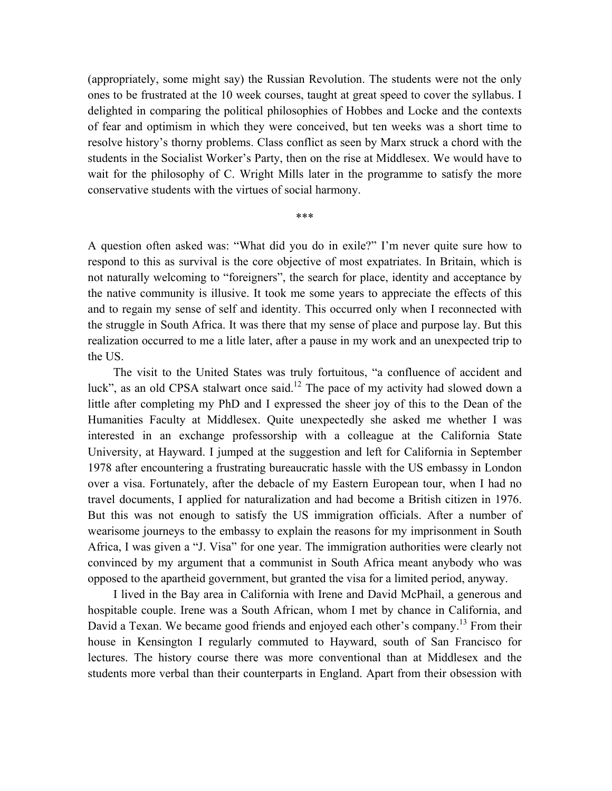(appropriately, some might say) the Russian Revolution. The students were not the only ones to be frustrated at the 10 week courses, taught at great speed to cover the syllabus. I delighted in comparing the political philosophies of Hobbes and Locke and the contexts of fear and optimism in which they were conceived, but ten weeks was a short time to resolve history's thorny problems. Class conflict as seen by Marx struck a chord with the students in the Socialist Worker's Party, then on the rise at Middlesex. We would have to wait for the philosophy of C. Wright Mills later in the programme to satisfy the more conservative students with the virtues of social harmony.

A question often asked was: "What did you do in exile?" I'm never quite sure how to respond to this as survival is the core objective of most expatriates. In Britain, which is not naturally welcoming to "foreigners", the search for place, identity and acceptance by the native community is illusive. It took me some years to appreciate the effects of this and to regain my sense of self and identity. This occurred only when I reconnected with the struggle in South Africa. It was there that my sense of place and purpose lay. But this realization occurred to me a litle later, after a pause in my work and an unexpected trip to the US.

The visit to the United States was truly fortuitous, "a confluence of accident and luck", as an old CPSA stalwart once said.<sup>12</sup> The pace of my activity had slowed down a little after completing my PhD and I expressed the sheer joy of this to the Dean of the Humanities Faculty at Middlesex. Quite unexpectedly she asked me whether I was interested in an exchange professorship with a colleague at the California State University, at Hayward. I jumped at the suggestion and left for California in September 1978 after encountering a frustrating bureaucratic hassle with the US embassy in London over a visa. Fortunately, after the debacle of my Eastern European tour, when I had no travel documents, I applied for naturalization and had become a British citizen in 1976. But this was not enough to satisfy the US immigration officials. After a number of wearisome journeys to the embassy to explain the reasons for my imprisonment in South Africa, I was given a "J. Visa" for one year. The immigration authorities were clearly not convinced by my argument that a communist in South Africa meant anybody who was opposed to the apartheid government, but granted the visa for a limited period, anyway.

I lived in the Bay area in California with Irene and David McPhail, a generous and hospitable couple. Irene was a South African, whom I met by chance in California, and David a Texan. We became good friends and enjoyed each other's company.<sup>13</sup> From their house in Kensington I regularly commuted to Hayward, south of San Francisco for lectures. The history course there was more conventional than at Middlesex and the students more verbal than their counterparts in England. Apart from their obsession with

\*\*\*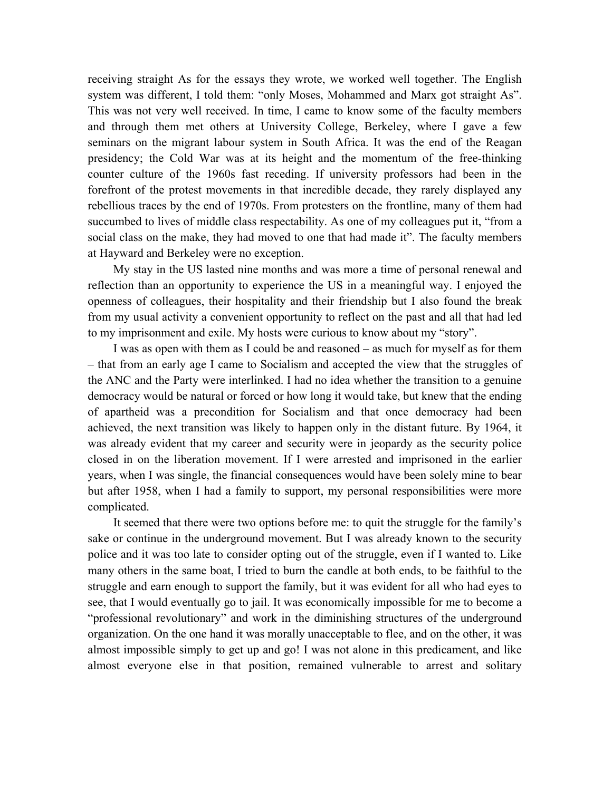receiving straight As for the essays they wrote, we worked well together. The English system was different, I told them: "only Moses, Mohammed and Marx got straight As". This was not very well received. In time, I came to know some of the faculty members and through them met others at University College, Berkeley, where I gave a few seminars on the migrant labour system in South Africa. It was the end of the Reagan presidency; the Cold War was at its height and the momentum of the free-thinking counter culture of the 1960s fast receding. If university professors had been in the forefront of the protest movements in that incredible decade, they rarely displayed any rebellious traces by the end of 1970s. From protesters on the frontline, many of them had succumbed to lives of middle class respectability. As one of my colleagues put it, "from a social class on the make, they had moved to one that had made it". The faculty members at Hayward and Berkeley were no exception.

My stay in the US lasted nine months and was more a time of personal renewal and reflection than an opportunity to experience the US in a meaningful way. I enjoyed the openness of colleagues, their hospitality and their friendship but I also found the break from my usual activity a convenient opportunity to reflect on the past and all that had led to my imprisonment and exile. My hosts were curious to know about my "story".

I was as open with them as I could be and reasoned – as much for myself as for them – that from an early age I came to Socialism and accepted the view that the struggles of the ANC and the Party were interlinked. I had no idea whether the transition to a genuine democracy would be natural or forced or how long it would take, but knew that the ending of apartheid was a precondition for Socialism and that once democracy had been achieved, the next transition was likely to happen only in the distant future. By 1964, it was already evident that my career and security were in jeopardy as the security police closed in on the liberation movement. If I were arrested and imprisoned in the earlier years, when I was single, the financial consequences would have been solely mine to bear but after 1958, when I had a family to support, my personal responsibilities were more complicated.

It seemed that there were two options before me: to quit the struggle for the family's sake or continue in the underground movement. But I was already known to the security police and it was too late to consider opting out of the struggle, even if I wanted to. Like many others in the same boat, I tried to burn the candle at both ends, to be faithful to the struggle and earn enough to support the family, but it was evident for all who had eyes to see, that I would eventually go to jail. It was economically impossible for me to become a "professional revolutionary" and work in the diminishing structures of the underground organization. On the one hand it was morally unacceptable to flee, and on the other, it was almost impossible simply to get up and go! I was not alone in this predicament, and like almost everyone else in that position, remained vulnerable to arrest and solitary